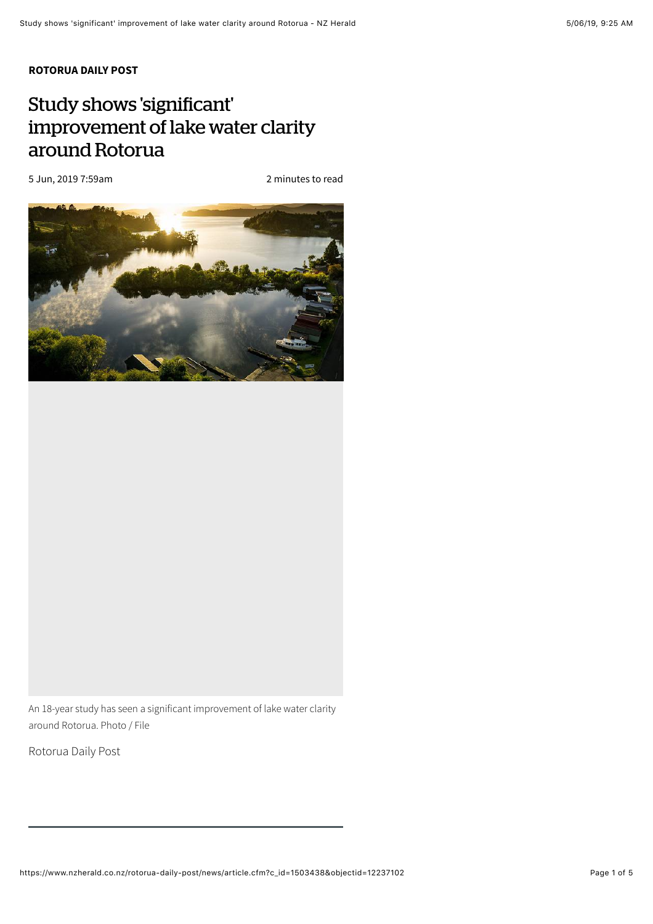## **[ROTORUA DAILY POST](https://www.nzherald.co.nz/rotorua-daily-post/news/headlines.cfm?c_id=1503438)**

## Study shows 'signifcant' improvement of lake water clarity around Rotorua

5 Jun, 2019 7:59am

2 minutes to read



An 18-year study has seen a significant improvement of lake water clarity around Rotorua. Photo / File

Rotorua Daily Post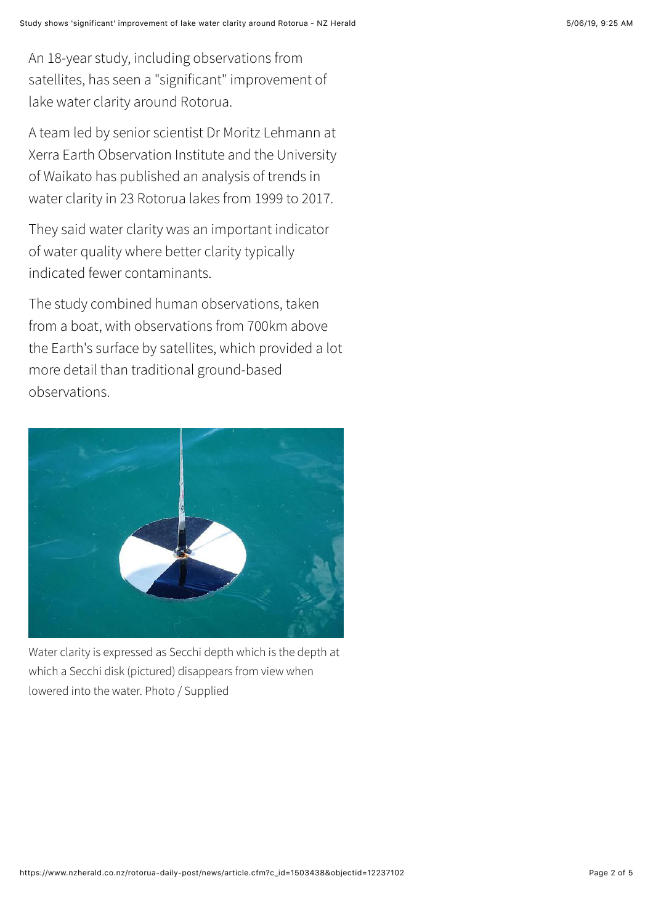An 18-year study, including observations from satellites, has seen a "significant" improvement of lake water clarity around Rotorua.

A team led by senior scientist Dr Moritz Lehmann at Xerra Earth Observation Institute and the University of Waikato has published an analysis of trends in water clarity in 23 Rotorua lakes from 1999 to 2017.

They said water clarity was an important indicator of water quality where better clarity typically indicated fewer contaminants.

The study combined human observations, taken from a boat, with observations from 700km above the Earth's surface by satellites, which provided a lot more detail than traditional ground-based observations.



Water clarity is expressed as Secchi depth which is the depth at which a Secchi disk (pictured) disappears from view when lowered into the water. Photo / Supplied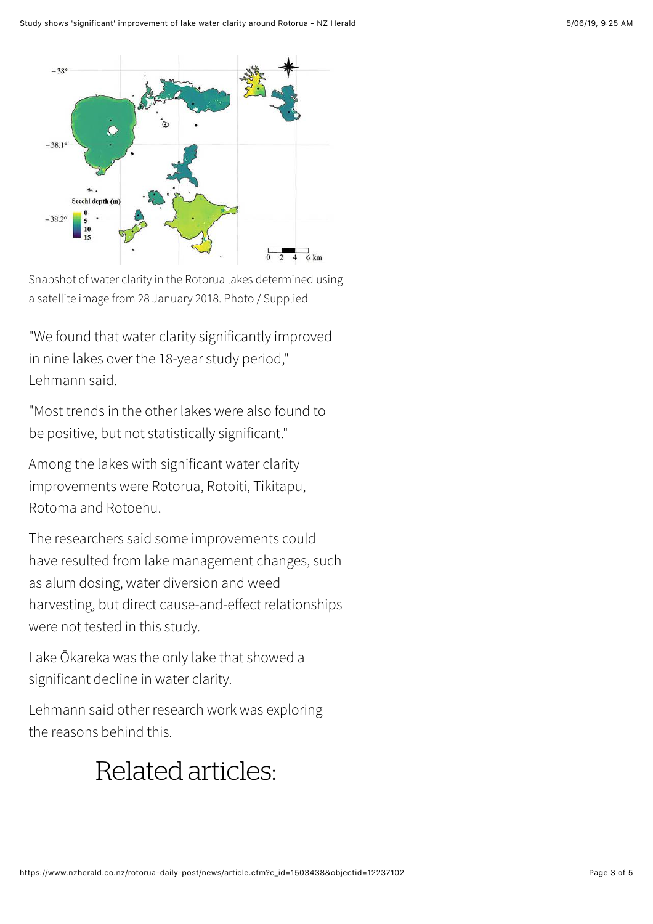

Snapshot of water clarity in the Rotorua lakes determined using a satellite image from 28 January 2018. Photo / Supplied

"We found that water clarity significantly improved in nine lakes over the 18-year study period," Lehmann said.

"Most trends in the other lakes were also found to be positive, but not statistically significant."

Among the lakes with significant water clarity improvements were Rotorua, Rotoiti, Tikitapu, Rotoma and Rotoehu.

The researchers said some improvements could have resulted from lake management changes, such as alum dosing, water diversion and weed harvesting, but direct cause-and-efect relationships were not tested in this study.

Lake Ōkareka was the only lake that showed a significant decline in water clarity.

Lehmann said other research work was exploring the reasons behind this.

## Related articles: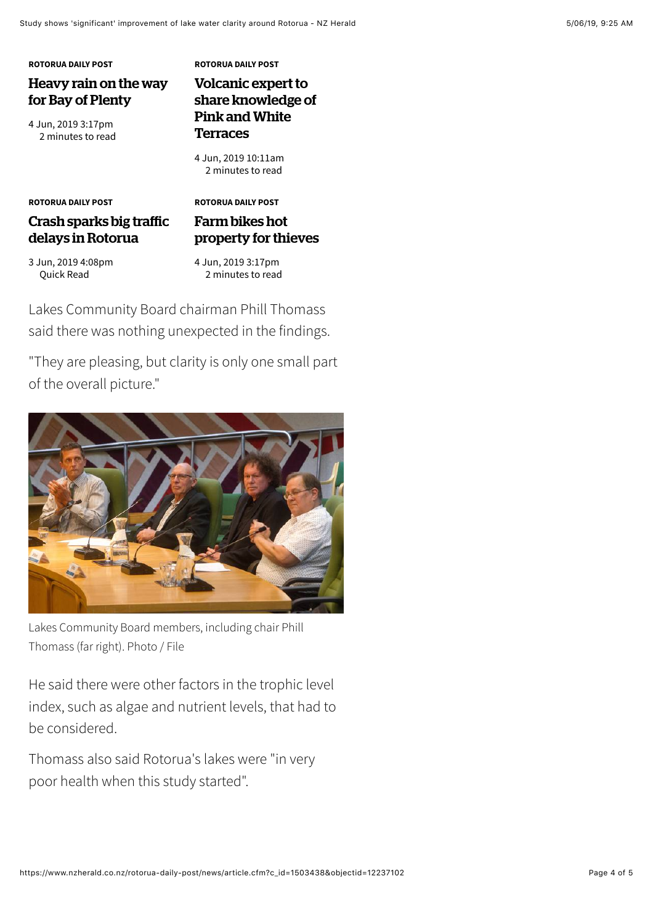| <b>ROTORUA DAILY POST</b><br>Heavy rain on the way<br>for Bay of Plenty<br>4 Jun, 2019 3:17pm<br>2 minutes to read | <b>ROTORUA DAILY POST</b><br>Volcanic expert to<br>share knowledge of<br><b>Pink and White</b><br>Terraces |
|--------------------------------------------------------------------------------------------------------------------|------------------------------------------------------------------------------------------------------------|
|                                                                                                                    | 4 Jun, 2019 10:11am<br>2 minutes to read                                                                   |
| <b>ROTORUA DAILY POST</b>                                                                                          | <b>ROTORUA DAILY POST</b>                                                                                  |

## [Crash sparks big tra](https://www.nzherald.co.nz/rotorua-daily-post/news/article.cfm?c_id=1503438&objectid=12236897)ffic delays in Rotorua

Farm bikes hot [property for thieves](https://www.nzherald.co.nz/rotorua-daily-post/news/article.cfm?c_id=1503438&objectid=12237182)

 Quick Read 3 Jun, 2019 4:08pm

 2 minutes to read 4 Jun, 2019 3:17pm

Lakes Community Board chairman Phill Thomass said there was nothing unexpected in the findings.

"They are pleasing, but clarity is only one small part of the overall picture."



Lakes Community Board members, including chair Phill Thomass (far right). Photo / File

He said there were other factors in the trophic level index, such as algae and nutrient levels, that had to be considered.

Thomass also said Rotorua's lakes were "in very poor health when this study started".